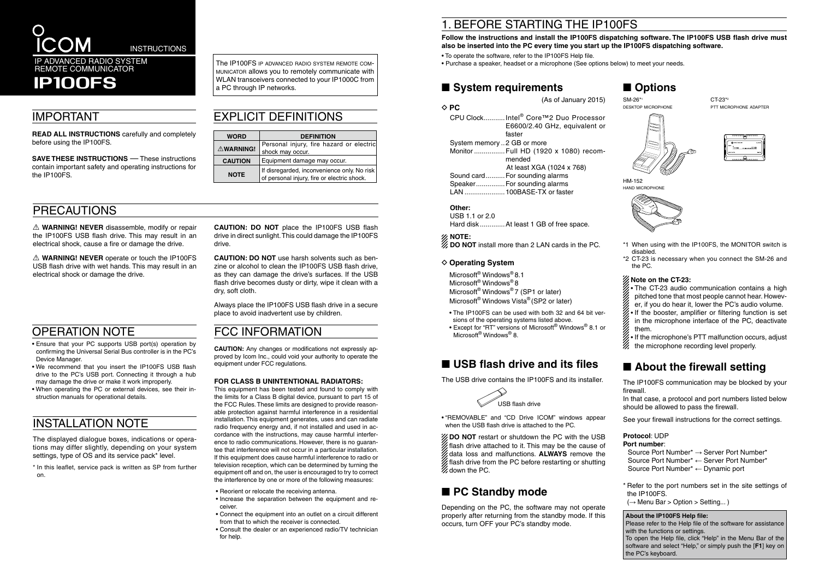(As of January 2015)

**◇ PC** CPU Clock...........Intel® Core™2 Duo Processor E6600/2.40 GHz, equivalent or faster System memory ..2 GB or more Monitor ................Full HD (1920 x 1080) recommended At least XGA (1024 x 768) Sound card..........For sounding alarms Speaker...............For sounding alarms LAN .....................100BASE-TX or faster

- The IP100FS can be used with both 32 and 64 bit versions of the operating systems listed above.
- Except for "RT" versions of Microsoft® Windows® 8.1 or Microsoft<sup>®</sup> Windows<sup>®</sup> 8.

# ■ USB flash drive and its files

### **Other:**

USB 1.1 or 2.0 Hard disk .............At least 1 GB of free space.

### **NOTE:**

**DO NOT** install more than 2 LAN cards in the PC.

### **◇ Operating System**

Microsoft® Windows® 8.1 Microsoft® Windows® 8 Microsoft<sup>®</sup> Windows<sup>®</sup> 7 (SP1 or later) Microsoft® Windows Vista® (SP2 or later)

The USB drive contains the IP100FS and its installer.

• "REMOVABLE" and "CD Drive ICOM" windows appear when the USB flash drive is attached to the PC.

**ZOO NOT** restart or shutdown the PC with the USB flash drive attached to it. This may be the cause of data loss and malfunctions. **ALWAYS** remove the flash drive from the PC before restarting or shutting  $\%$  down the PC.

# ■ **PC Standby mode**

 $\triangle$  **WARNING! NEVER** disassemble, modify or repair the IP100FS USB flash drive. This may result in an electrical shock, cause a fire or damage the drive.

> Depending on the PC, the software may not operate properly after returning from the standby mode. If this occurs, turn OFF your PC's standby mode.

 $\triangle$  **WARNING! NEVER** operate or touch the IP100FS USB flash drive with wet hands. This may result in an electrical shock or damage the drive.

- \*1 When using with the IP100FS, the MONITOR switch is disabled.
- \*2 CT-23 is necessary when you connect the SM-26 and the PC.

### **Note on the CT-23:**

#### The IP100FS IP ADVANCED RADIO SYSTEM REMOTE COMmunicator allows you to remotely communicate with WLAN transceivers connected to your IP1000C from a PC through IP networks.

- The CT-23 audio communication contains a high pitched tone that most people cannot hear. However, if you do hear it, lower the PC's audio volume.
- If the booster, amplifier or filtering function is set in the microphone interface of the PC, deactivate them.
- If the microphone's PTT malfunction occurs, adjust the microphone recording level properly.

# ■ **About the firewall setting**

The IP100FS communication may be blocked by your firewall.

In that case, a protocol and port numbers listed below should be allowed to pass the firewall.

See your firewall instructions for the correct settings.

## **Protocol**: UDP

**Port number**: Source Port Number\* → Server Port Number\* Source Port Number\* ← Server Port Number\* Source Port Number\* ← Dynamic port

\* Refer to the port numbers set in the site settings of the IP100FS.

 $(\rightarrow$  Menu Bar > Option > Setting...)

**CAUTION: DO NOT** place the IP100FS USB flash drive in direct sunlight. This could damage the IP100FS drive.

**CAUTION: DO NOT** use harsh solvents such as benzine or alcohol to clean the IP100FS USB flash drive, as they can damage the drive's surfaces. If the USB flash drive becomes dusty or dirty, wipe it clean with a dry, soft cloth.

The displayed dialogue boxes, indications or operations may differ slightly, depending on your system settings, type of OS and its service pack\* level.

Always place the IP100FS USB flash drive in a secure place to avoid inadvertent use by children.

## PRECAUTIONS

## IMPORTANT

**READ ALL INSTRUCTIONS** carefully and completely before using the IP100FS.

**SAVE THESE INSTRUCTIONS** — These instructions contain important safety and operating instructions for the IP100FS.



# EXPLICIT DEFINITIONS

| <b>WORD</b>      | <b>DEFINITION</b>                                                                              |  |
|------------------|------------------------------------------------------------------------------------------------|--|
| <b>△WARNING!</b> | Personal injury, fire hazard or electric<br>shock may occur.                                   |  |
| <b>CAUTION</b>   | Equipment damage may occur.                                                                    |  |
| <b>NOTE</b>      | If disregarded, inconvenience only. No risk  <br>  of personal injury, fire or electric shock. |  |

# OPERATION NOTE



HM-152 hand microphone



- Ensure that your PC supports USB port(s) operation by confirming the Universal Serial Bus controller is in the PC's Device Manager.
- We recommend that you insert the IP100FS USB flash drive to the PC's USB port. Connecting it through a hub may damage the drive or make it work improperly.
- When operating the PC or external devices, see their instruction manuals for operational details.

# INSTALLATION NOTE

## FCC INFORMATION

**CAUTION:** Any changes or modifications not expressly approved by Icom Inc., could void your authority to operate the equipment under FCC regulations.

#### **FOR CLASS B UNINTENTIONAL RADIATORS:**

This equipment has been tested and found to comply with the limits for a Class B digital device, pursuant to part 15 of the FCC Rules.These limits are designed to provide reasonable protection against harmful interference in a residential installation. This equipment generates, uses and can radiate radio frequency energy and, if not installed and used in accordance with the instructions, may cause harmful interference to radio communications. However, there is no guarantee that interference will not occur in a particular installation. If this equipment does cause harmful interference to radio or television reception, which can be determined by turning the equipment off and on, the user is encouraged to try to correct the interference by one or more of the following measures:

- Reorient or relocate the receiving antenna.
- Increase the separation between the equipment and receiver.
- Connect the equipment into an outlet on a circuit different from that to which the receiver is connected.
- Consult the dealer or an experienced radio/TV technician for help.

# 1. BEFORE STARTING THE IP100FS

# **Follow the instructions and install the IP100FS dispatching software. The IP100FS USB flash drive must**

**also be inserted into the PC every time you start up the IP100FS dispatching software.**

- To operate the software, refer to the IP100FS Help file.
- Purchase a speaker, headset or a microphone (See options below) to meet your needs.

## ■ System requirements

\* In this leaflet, service pack is written as SP from further on.

IP100FS

### **About the IP100FS Help file:**

Please refer to the Help file of the software for assistance with the functions or settings.

To open the Help file, click "Help" in the Menu Bar of the software and select "Help," or simply push the [**F1**] key on the PC's keyboard.